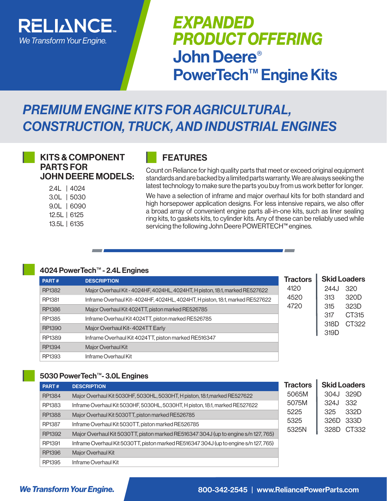

# *EXPANDED PRODUCT OFFERING* John Deere® PowerTech™ Engine Kits

# *PREMIUM ENGINE KITS FOR AGRICULTURAL, CONSTRUCTION, TRUCK, AND INDUSTRIAL ENGINES*

# KITS & COMPONENT PARTS FOR JOHN DEERE MODELS:

2.4L | 4024 3.0L | 5030 9.0L | 6090 12.5L | 6125 13.5L | 6135

# FEATURES

Count on Reliance for high quality parts that meet or exceed original equipment standards and are backed by a limited parts warranty. We are always seeking the latest technology to make sure the parts you buy from us work better for longer.

We have a selection of inframe and major overhaul kits for both standard and high horsepower application designs. For less intensive repairs, we also offer a broad array of convenient engine parts all-in-one kits, such as liner sealing ring kits, to gaskets kits, to cylinder kits. Any of these can be reliably used while servicing the following John Deere POWERTECH™ engines.

## 4024 PowerTech™ - 2.4L Engines

| PART#  | <b>DESCRIPTION</b>                                                           | <b>Tractors</b> |              | <b>Skid Loaders</b> |
|--------|------------------------------------------------------------------------------|-----------------|--------------|---------------------|
|        |                                                                              |                 |              |                     |
| RP1382 | Major Overhaul Kit - 4024HF, 4024HL, 4024HT, H piston, 18:1, marked RE527622 | 4120            | 244.         | 320                 |
| RP1381 | Inframe Overhaul Kit-4024HF, 4024HL, 4024HT, H piston, 18:1, marked RE527622 | 4520            | 313          | 320D                |
| RP1386 | Major Overhaul Kit 4024TT, piston marked RE526785                            | 4720            | 315          | 323D                |
| RP1385 | Inframe Overhaul Kit 4024TT, piston marked RE526785                          |                 | 317          | CT315               |
| RP1390 | Major Overhaul Kit-4024TT Early                                              |                 | 318D<br>319D | CT322               |
| RP1389 | Inframe Overhaul Kit 4024TT, piston marked RE516347                          |                 |              |                     |
| RP1394 | Major Overhaul Kit                                                           |                 |              |                     |
| RP1393 | Inframe Overhaul Kit                                                         |                 |              |                     |

# 5030 PowerTech™- 3.0L Engines

| PART#         | <b>DESCRIPTION</b>                                                                   | <b>Tractors</b> | <b>Skid Loaders</b> |
|---------------|--------------------------------------------------------------------------------------|-----------------|---------------------|
| RP1384        | Major Overhaul Kit 5030HF, 5030HL, 5030HT, H piston, 18:1, marked RE527622           | 5065M           | 329D<br>304J        |
| RP1383        | Inframe Overhaul Kit 5030HF, 5030HL, 5030HT, H piston, 18:1, marked RE527622         | 5075M           | 332<br>324J         |
| <b>RP1388</b> | Major Overhaul Kit 5030TT, piston marked RE526785                                    | 5225            | 332D<br>325         |
| RP1387        | Inframe Overhaul Kit 5030TT, piston marked RE526785                                  | 5325            | 333D<br>326D        |
| RP1392        | Major Overhaul Kit 5030TT, piston marked RE516347 304J (up to engine s/n 127, 765)   | 5325N           | CT332<br>328D       |
| RP1391        | Inframe Overhaul Kit 5030TT, piston marked RE516347 304J (up to engine s/n 127, 765) |                 |                     |
| RP1396        | Maior Overhaul Kit                                                                   |                 |                     |
| RP1395        | Inframe Overhaul Kit                                                                 |                 |                     |